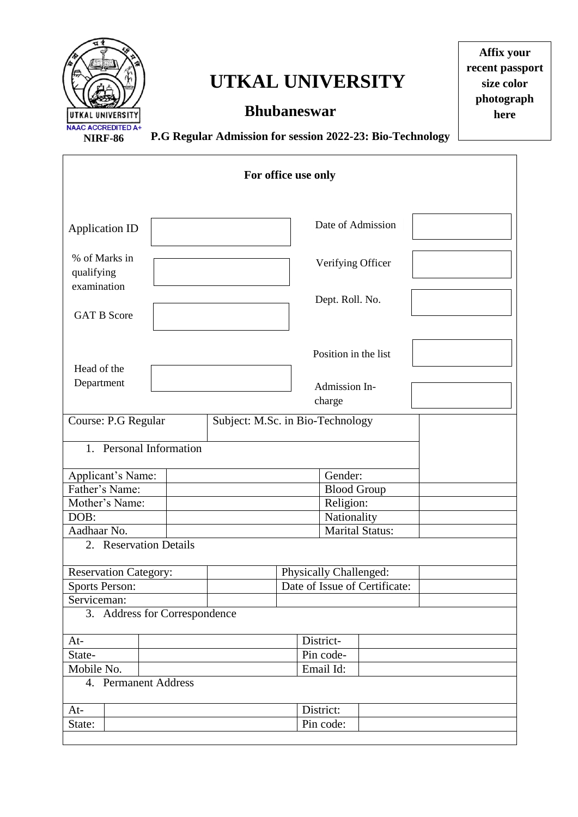

## **UTKAL UNIVERSITY**

## **Bhubaneswar**

**Affix your recent passport size color photograph here**

**P.G Regular Admission for session 2022-23: Bio-Technology**

| For office use only                        |  |                               |                        |                         |  |  |  |  |  |
|--------------------------------------------|--|-------------------------------|------------------------|-------------------------|--|--|--|--|--|
| <b>Application ID</b>                      |  |                               |                        | Date of Admission       |  |  |  |  |  |
| % of Marks in<br>qualifying<br>examination |  |                               |                        | Verifying Officer       |  |  |  |  |  |
| <b>GAT B Score</b>                         |  |                               |                        | Dept. Roll. No.         |  |  |  |  |  |
| Head of the                                |  |                               |                        | Position in the list    |  |  |  |  |  |
| Department                                 |  |                               |                        | Admission In-<br>charge |  |  |  |  |  |
| Course: P.G Regular                        |  |                               |                        |                         |  |  |  |  |  |
| 1. Personal Information                    |  |                               |                        |                         |  |  |  |  |  |
| Applicant's Name:                          |  |                               |                        |                         |  |  |  |  |  |
| Father's Name:                             |  |                               | <b>Blood Group</b>     |                         |  |  |  |  |  |
| Mother's Name:                             |  |                               |                        |                         |  |  |  |  |  |
| DOB:                                       |  |                               | Nationality            |                         |  |  |  |  |  |
| Aadhaar No.                                |  |                               | <b>Marital Status:</b> |                         |  |  |  |  |  |
| 2. Reservation Details                     |  |                               |                        |                         |  |  |  |  |  |
| <b>Reservation Category:</b>               |  | Physically Challenged:        |                        |                         |  |  |  |  |  |
| <b>Sports Person:</b>                      |  | Date of Issue of Certificate: |                        |                         |  |  |  |  |  |
| Serviceman:                                |  |                               |                        |                         |  |  |  |  |  |
| 3. Address for Correspondence              |  |                               |                        |                         |  |  |  |  |  |
| $At-$                                      |  |                               | District-              |                         |  |  |  |  |  |
| State-                                     |  |                               | Pin code-              |                         |  |  |  |  |  |
| Mobile No.                                 |  |                               |                        | Email Id:               |  |  |  |  |  |
| 4. Permanent Address                       |  |                               |                        |                         |  |  |  |  |  |
| $At-$                                      |  |                               |                        | District:               |  |  |  |  |  |
| State:                                     |  |                               |                        | Pin code:               |  |  |  |  |  |
|                                            |  |                               |                        |                         |  |  |  |  |  |